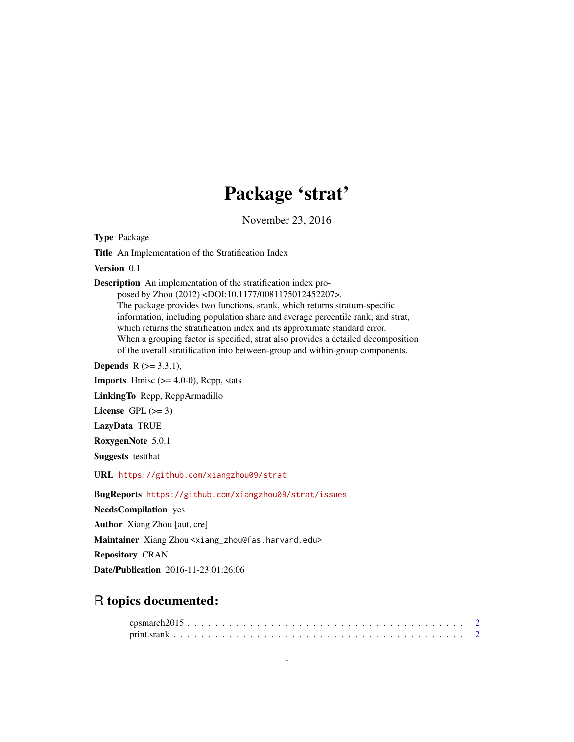## Package 'strat'

November 23, 2016

<span id="page-0-0"></span>Type Package

Title An Implementation of the Stratification Index

Version 0.1

Description An implementation of the stratification index pro-

posed by Zhou (2012) <DOI:10.1177/0081175012452207>. The package provides two functions, srank, which returns stratum-specific information, including population share and average percentile rank; and strat, which returns the stratification index and its approximate standard error. When a grouping factor is specified, strat also provides a detailed decomposition of the overall stratification into between-group and within-group components.

**Depends** R  $(>= 3.3.1)$ ,

**Imports** Hmisc  $(>= 4.0-0)$ , Repp, stats

LinkingTo Rcpp, RcppArmadillo

License GPL  $(>= 3)$ 

LazyData TRUE

RoxygenNote 5.0.1

Suggests testthat

URL <https://github.com/xiangzhou09/strat>

BugReports <https://github.com/xiangzhou09/strat/issues>

NeedsCompilation yes

Author Xiang Zhou [aut, cre]

Maintainer Xiang Zhou <xiang\_zhou@fas.harvard.edu>

Repository CRAN

Date/Publication 2016-11-23 01:26:06

### R topics documented: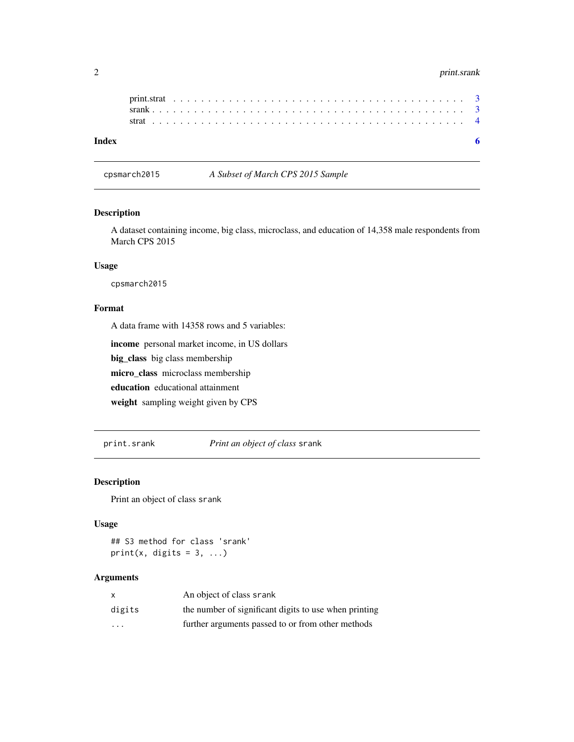#### <span id="page-1-0"></span>2 print.srank

cpsmarch2015 *A Subset of March CPS 2015 Sample*

#### Description

A dataset containing income, big class, microclass, and education of 14,358 male respondents from March CPS 2015

#### Usage

cpsmarch2015

#### Format

A data frame with 14358 rows and 5 variables:

income personal market income, in US dollars

big\_class big class membership

micro\_class microclass membership

education educational attainment

weight sampling weight given by CPS

print.srank *Print an object of class* srank

#### Description

Print an object of class srank

#### Usage

## S3 method for class 'srank' print(x, digits =  $3, ...$ )

#### Arguments

| $\mathsf{x}$ | An object of class srank                              |
|--------------|-------------------------------------------------------|
| digits       | the number of significant digits to use when printing |
| .            | further arguments passed to or from other methods     |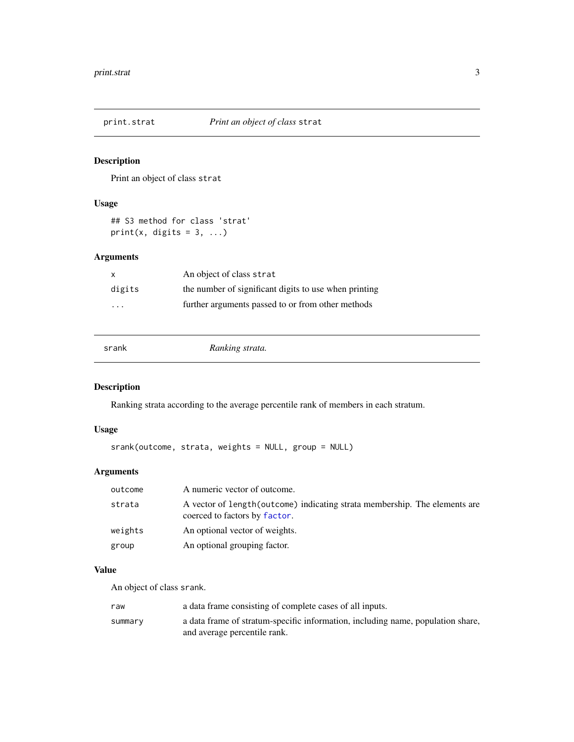<span id="page-2-0"></span>

#### Description

Print an object of class strat

#### Usage

## S3 method for class 'strat'  $print(x, \text{ digits} = 3, \ldots)$ 

#### Arguments

| X                       | An object of class strat                              |
|-------------------------|-------------------------------------------------------|
| digits                  | the number of significant digits to use when printing |
| $\cdot$ $\cdot$ $\cdot$ | further arguments passed to or from other methods     |

srank *Ranking strata.*

#### Description

Ranking strata according to the average percentile rank of members in each stratum.

#### Usage

```
srank(outcome, strata, weights = NULL, group = NULL)
```
#### Arguments

| outcome | A numeric vector of outcome.                                                                                 |
|---------|--------------------------------------------------------------------------------------------------------------|
| strata  | A vector of length (outcome) indicating strata membership. The elements are<br>coerced to factors by factor. |
| weights | An optional vector of weights.                                                                               |
| group   | An optional grouping factor.                                                                                 |

#### Value

An object of class srank.

| raw     | a data frame consisting of complete cases of all inputs.                                                        |
|---------|-----------------------------------------------------------------------------------------------------------------|
| summary | a data frame of stratum-specific information, including name, population share,<br>and average percentile rank. |
|         |                                                                                                                 |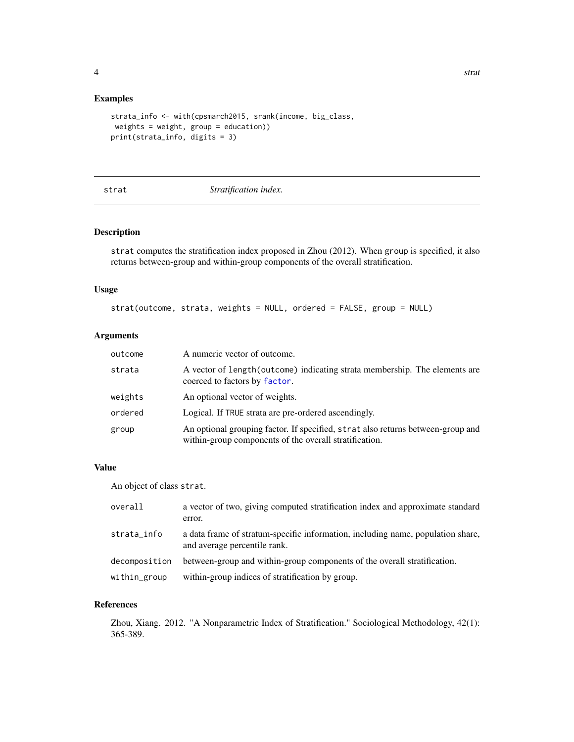#### <span id="page-3-0"></span>Examples

```
strata_info <- with(cpsmarch2015, srank(income, big_class,
weights = weight, group = education))
print(strata_info, digits = 3)
```
#### strat *Stratification index.*

#### Description

strat computes the stratification index proposed in Zhou (2012). When group is specified, it also returns between-group and within-group components of the overall stratification.

#### Usage

strat(outcome, strata, weights = NULL, ordered = FALSE, group = NULL)

#### Arguments

| outcome | A numeric vector of outcome.                                                                                                              |
|---------|-------------------------------------------------------------------------------------------------------------------------------------------|
| strata  | A vector of length (outcome) indicating strata membership. The elements are<br>coerced to factors by factor.                              |
| weights | An optional vector of weights.                                                                                                            |
| ordered | Logical. If TRUE strata are pre-ordered ascendingly.                                                                                      |
| group   | An optional grouping factor. If specified, strat also returns between-group and<br>within-group components of the overall stratification. |

#### Value

An object of class strat.

| overall       | a vector of two, giving computed stratification index and approximate standard<br>error.                        |
|---------------|-----------------------------------------------------------------------------------------------------------------|
| strata_info   | a data frame of stratum-specific information, including name, population share,<br>and average percentile rank. |
| decomposition | between-group and within-group components of the overall stratification.                                        |
| within_group  | within-group indices of stratification by group.                                                                |

#### References

Zhou, Xiang. 2012. "A Nonparametric Index of Stratification." Sociological Methodology, 42(1): 365-389.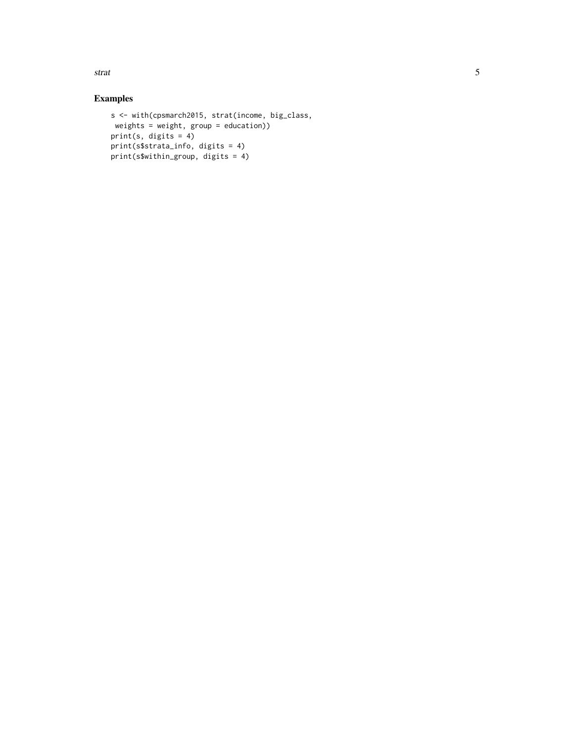strat 5

#### Examples

```
s <- with(cpsmarch2015, strat(income, big_class,
weights = weight, group = education))
print(s, digits = 4)
print(s$strata_info, digits = 4)
print(s$within_group, digits = 4)
```